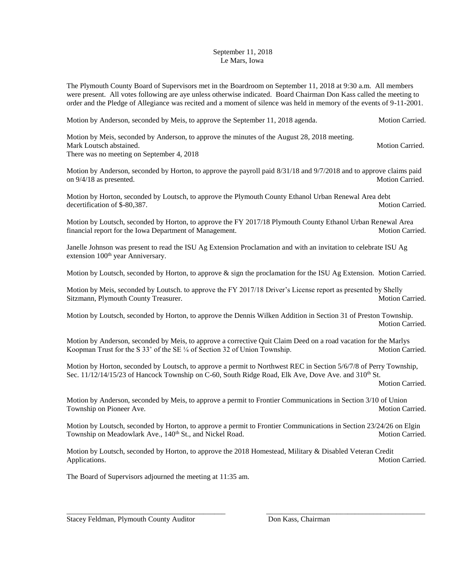## September 11, 2018 Le Mars, Iowa

The Plymouth County Board of Supervisors met in the Boardroom on September 11, 2018 at 9:30 a.m. All members were present. All votes following are aye unless otherwise indicated. Board Chairman Don Kass called the meeting to order and the Pledge of Allegiance was recited and a moment of silence was held in memory of the events of 9-11-2001.

Motion by Anderson, seconded by Meis, to approve the September 11, 2018 agenda. Motion Carried.

Motion by Meis, seconded by Anderson, to approve the minutes of the August 28, 2018 meeting. Mark Loutsch abstained. Motion Carried. Motion Carried. There was no meeting on September 4, 2018

Motion by Anderson, seconded by Horton, to approve the payroll paid 8/31/18 and 9/7/2018 and to approve claims paid on  $9/4/18$  as presented. Motion Carried.

Motion by Horton, seconded by Loutsch, to approve the Plymouth County Ethanol Urban Renewal Area debt decertification of \$-80.387.

Motion by Loutsch, seconded by Horton, to approve the FY 2017/18 Plymouth County Ethanol Urban Renewal Area financial report for the Iowa Department of Management. Motion Carried.

Janelle Johnson was present to read the ISU Ag Extension Proclamation and with an invitation to celebrate ISU Ag extension 100<sup>th</sup> year Anniversary.

Motion by Loutsch, seconded by Horton, to approve & sign the proclamation for the ISU Ag Extension. Motion Carried.

Motion by Meis, seconded by Loutsch. to approve the FY 2017/18 Driver's License report as presented by Shelly Sitzmann, Plymouth County Treasurer. Motion Carried. Motion Carried.

Motion by Loutsch, seconded by Horton, to approve the Dennis Wilken Addition in Section 31 of Preston Township. Motion Carried.

Motion by Anderson, seconded by Meis, to approve a corrective Quit Claim Deed on a road vacation for the Marlys Koopman Trust for the S 33' of the SE ¼ of Section 32 of Union Township. Motion Carried.

Motion by Horton, seconded by Loutsch, to approve a permit to Northwest REC in Section 5/6/7/8 of Perry Township, Sec. 11/12/14/15/23 of Hancock Township on C-60, South Ridge Road, Elk Ave, Dove Ave. and 310<sup>th</sup> St.

Motion Carried.

Motion by Anderson, seconded by Meis, to approve a permit to Frontier Communications in Section 3/10 of Union Township on Pioneer Ave. **Motion Carried.** Motion Carried.

Motion by Loutsch, seconded by Horton, to approve a permit to Frontier Communications in Section 23/24/26 on Elgin<br>Township on Meadowlark Ave., 140<sup>th</sup> St., and Nickel Road. Motion Carried. Township on Meadowlark Ave., 140<sup>th</sup> St., and Nickel Road.

Motion by Loutsch, seconded by Horton, to approve the 2018 Homestead, Military & Disabled Veteran Credit Applications. Motion Carried. Motion Carried.

\_\_\_\_\_\_\_\_\_\_\_\_\_\_\_\_\_\_\_\_\_\_\_\_\_\_\_\_\_\_\_\_\_\_\_\_\_\_\_\_\_\_\_ \_\_\_\_\_\_\_\_\_\_\_\_\_\_\_\_\_\_\_\_\_\_\_\_\_\_\_\_\_\_\_\_\_\_\_\_\_\_\_\_\_\_\_

The Board of Supervisors adjourned the meeting at 11:35 am.

Stacey Feldman, Plymouth County Auditor Don Kass, Chairman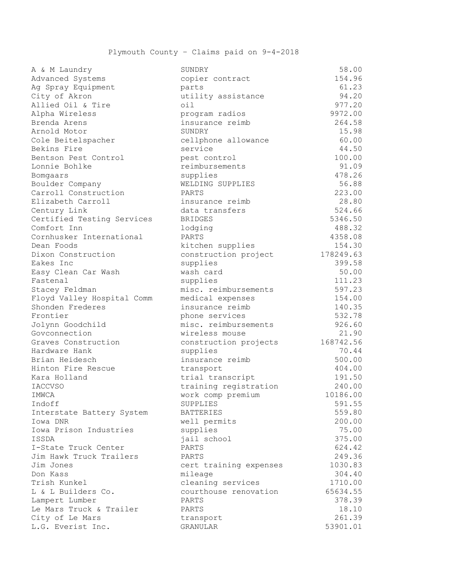| u « w radnar y             | <b>POMDUT</b>          | JO.UU     |
|----------------------------|------------------------|-----------|
| Advanced Systems           | copier contract        | 154.96    |
| Ag Spray Equipment         | parts                  | 61.23     |
| City of Akron              | utility assistance     | 94.20     |
| Allied Oil & Tire          | $\circ i1$             | 977.20    |
| Alpha Wireless             | program radios         | 9972.00   |
| Brenda Arens               | insurance reimb        | 264.58    |
| Arnold Motor               | SUNDRY                 | 15.98     |
| Cole Beitelspacher         | cellphone allowance    | 60.00     |
| Bekins Fire                | service                | 44.50     |
| Bentson Pest Control       | pest control           | 100.00    |
| Lonnie Bohlke              | reimbursements         | 91.09     |
| Bomgaars                   | supplies               | 478.26    |
| Boulder Company            | WELDING SUPPLIES       | 56.88     |
| Carroll Construction       | PARTS                  | 223.00    |
| Elizabeth Carroll          | insurance reimb        | 28.80     |
| Century Link               | data transfers         | 524.66    |
| Certified Testing Services | <b>BRIDGES</b>         | 5346.50   |
| Comfort Inn                | lodging                | 488.32    |
| Cornhusker International   | PARTS                  | 4358.08   |
| Dean Foods                 | kitchen supplies       | 154.30    |
| Dixon Construction         | construction project   | 178249.63 |
| Eakes Inc                  | supplies               | 399.58    |
| Easy Clean Car Wash        | wash card              | 50.00     |
| Fastenal                   | supplies               | 111.23    |
| Stacey Feldman             | misc. reimbursements   | 597.23    |
| Floyd Valley Hospital Comm | medical expenses       | 154.00    |
| Shonden Frederes           | insurance reimb        | 140.35    |
| Frontier                   | phone services         | 532.78    |
| Jolynn Goodchild           | misc. reimbursements   | 926.60    |
| Govconnection              | wireless mouse         | 21.90     |
| Graves Construction        | construction projects  | 168742.56 |
| Hardware Hank              | supplies               | 70.44     |
| Brian Heidesch             | insurance reimb        | 500.00    |
| Hinton Fire Rescue         | transport              | 404.00    |
| Kara Holland               | trial transcript       | 191.50    |
| <b>IACCVSO</b>             | training registration  | 240.00    |
| IMWCA                      | work comp premium      | 10186.00  |
| Indoff                     | SUPPLIES               | 591.55    |
| Interstate Battery System  | <b>BATTERIES</b>       | 559.80    |
| Iowa DNR                   | well permits           | 200.00    |
| Iowa Prison Industries     | supplies               | 75.00     |
| ISSDA                      | jail school            | 375.00    |
| I-State Truck Center       | PARTS                  | 624.42    |
| Jim Hawk Truck Trailers    | PARTS                  | 249.36    |
| Jim Jones                  | cert training expenses | 1030.83   |
| Don Kass                   | mileage                | 304.40    |
| Trish Kunkel               | cleaning services      | 1710.00   |
| L & L Builders Co.         | courthouse renovation  | 65634.55  |
| Lampert Lumber             | PARTS                  | 378.39    |
| Le Mars Truck & Trailer    | PARTS                  | 18.10     |
| City of Le Mars            | transport              | 261.39    |
| L.G. Everist Inc.          | GRANULAR               | 53901.01  |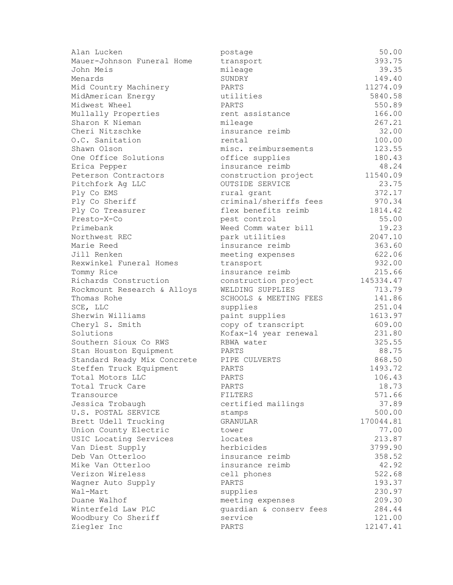| 393.75<br>Mauer-Johnson Funeral Home<br>transport<br>39.35<br>mileage<br>John Meis<br>149.40<br>SUNDRY<br>Menards<br>11274.09<br>Mid Country Machinery<br>PARTS<br>5840.58<br>MidAmerican Energy<br>utilities<br>550.89<br>Midwest Wheel<br>PARTS<br>166.00<br>rent assistance<br>Mullally Properties<br>Sharon K Nieman<br>267.21<br>mileage<br>32.00<br>Cheri Nitzschke<br>insurance reimb<br>100.00<br>O.C. Sanitation<br>rental<br>Shawn Olson<br>misc. reimbursements<br>123.55<br>180.43<br>One Office Solutions<br>office supplies<br>48.24<br>insurance reimb<br>Erica Pepper<br>11540.09<br>Peterson Contractors<br>construction project<br>OUTSIDE SERVICE<br>23.75<br>Pitchfork Ag LLC<br>372.17<br>Ply Co EMS<br>rural grant<br>criminal/sheriffs fees<br>970.34<br>Ply Co Sheriff<br>1814.42<br>Ply Co Treasurer<br>flex benefits reimb<br>55.00<br>Presto-X-Co<br>pest control<br>19.23<br>Primebank<br>Weed Comm water bill<br>2047.10<br>Northwest REC<br>park utilities<br>363.60<br>Marie Reed<br>insurance reimb<br>622.06<br>Jill Renken<br>meeting expenses<br>932.00<br>Rexwinkel Funeral Homes<br>transport<br>215.66<br>Tommy Rice<br>insurance reimb<br>Richards Construction<br>145334.47<br>construction project<br>713.79<br>WELDING SUPPLIES<br>Rockmount Research & Alloys<br>Thomas Rohe<br>141.86<br>SCHOOLS & MEETING FEES<br>251.04<br>SCE, LLC<br>supplies<br>Sherwin Williams<br>1613.97<br>paint supplies<br>609.00<br>Cheryl S. Smith<br>copy of transcript<br>Solutions<br>231.80<br>Kofax-14 year renewal<br>Southern Sioux Co RWS<br>325.55<br>RBWA water<br>88.75<br>Stan Houston Equipment<br>PARTS<br>868.50<br>Standard Ready Mix Concrete<br>PIPE CULVERTS<br>Steffen Truck Equipment<br>1493.72<br>PARTS<br>106.43<br>PARTS<br>Total Motors LLC<br>18.73<br>Total Truck Care<br>PARTS<br>571.66<br>Transource<br>FILTERS<br>certified mailings<br>37.89<br>Jessica Trobaugh<br>U.S. POSTAL SERVICE<br>500.00<br>stamps<br>170044.81<br>Brett Udell Trucking<br>GRANULAR<br>77.00<br>Union County Electric<br>tower<br>USIC Locating Services<br>213.87<br>locates<br>herbicides<br>Van Diest Supply<br>3799.90<br>Deb Van Otterloo<br>insurance reimb<br>358.52<br>Mike Van Otterloo<br>42.92<br>insurance reimb<br>Verizon Wireless<br>522.68<br>cell phones<br>PARTS<br>193.37<br>Wagner Auto Supply<br>Wal-Mart<br>supplies<br>230.97<br>Duane Walhof<br>meeting expenses<br>209.30<br>Winterfeld Law PLC<br>quardian & conserv fees<br>284.44<br>service<br>121.00<br>Woodbury Co Sheriff<br>Ziegler Inc<br>12147.41<br>PARTS | Alan Lucken | postage | 50.00 |
|----------------------------------------------------------------------------------------------------------------------------------------------------------------------------------------------------------------------------------------------------------------------------------------------------------------------------------------------------------------------------------------------------------------------------------------------------------------------------------------------------------------------------------------------------------------------------------------------------------------------------------------------------------------------------------------------------------------------------------------------------------------------------------------------------------------------------------------------------------------------------------------------------------------------------------------------------------------------------------------------------------------------------------------------------------------------------------------------------------------------------------------------------------------------------------------------------------------------------------------------------------------------------------------------------------------------------------------------------------------------------------------------------------------------------------------------------------------------------------------------------------------------------------------------------------------------------------------------------------------------------------------------------------------------------------------------------------------------------------------------------------------------------------------------------------------------------------------------------------------------------------------------------------------------------------------------------------------------------------------------------------------------------------------------------------------------------------------------------------------------------------------------------------------------------------------------------------------------------------------------------------------------------------------------------------------------------------------------------------------------------------------------------------------------------------------------------------------------------------------------------------------------------------------------------------------------------------|-------------|---------|-------|
|                                                                                                                                                                                                                                                                                                                                                                                                                                                                                                                                                                                                                                                                                                                                                                                                                                                                                                                                                                                                                                                                                                                                                                                                                                                                                                                                                                                                                                                                                                                                                                                                                                                                                                                                                                                                                                                                                                                                                                                                                                                                                                                                                                                                                                                                                                                                                                                                                                                                                                                                                                                  |             |         |       |
|                                                                                                                                                                                                                                                                                                                                                                                                                                                                                                                                                                                                                                                                                                                                                                                                                                                                                                                                                                                                                                                                                                                                                                                                                                                                                                                                                                                                                                                                                                                                                                                                                                                                                                                                                                                                                                                                                                                                                                                                                                                                                                                                                                                                                                                                                                                                                                                                                                                                                                                                                                                  |             |         |       |
|                                                                                                                                                                                                                                                                                                                                                                                                                                                                                                                                                                                                                                                                                                                                                                                                                                                                                                                                                                                                                                                                                                                                                                                                                                                                                                                                                                                                                                                                                                                                                                                                                                                                                                                                                                                                                                                                                                                                                                                                                                                                                                                                                                                                                                                                                                                                                                                                                                                                                                                                                                                  |             |         |       |
|                                                                                                                                                                                                                                                                                                                                                                                                                                                                                                                                                                                                                                                                                                                                                                                                                                                                                                                                                                                                                                                                                                                                                                                                                                                                                                                                                                                                                                                                                                                                                                                                                                                                                                                                                                                                                                                                                                                                                                                                                                                                                                                                                                                                                                                                                                                                                                                                                                                                                                                                                                                  |             |         |       |
|                                                                                                                                                                                                                                                                                                                                                                                                                                                                                                                                                                                                                                                                                                                                                                                                                                                                                                                                                                                                                                                                                                                                                                                                                                                                                                                                                                                                                                                                                                                                                                                                                                                                                                                                                                                                                                                                                                                                                                                                                                                                                                                                                                                                                                                                                                                                                                                                                                                                                                                                                                                  |             |         |       |
|                                                                                                                                                                                                                                                                                                                                                                                                                                                                                                                                                                                                                                                                                                                                                                                                                                                                                                                                                                                                                                                                                                                                                                                                                                                                                                                                                                                                                                                                                                                                                                                                                                                                                                                                                                                                                                                                                                                                                                                                                                                                                                                                                                                                                                                                                                                                                                                                                                                                                                                                                                                  |             |         |       |
|                                                                                                                                                                                                                                                                                                                                                                                                                                                                                                                                                                                                                                                                                                                                                                                                                                                                                                                                                                                                                                                                                                                                                                                                                                                                                                                                                                                                                                                                                                                                                                                                                                                                                                                                                                                                                                                                                                                                                                                                                                                                                                                                                                                                                                                                                                                                                                                                                                                                                                                                                                                  |             |         |       |
|                                                                                                                                                                                                                                                                                                                                                                                                                                                                                                                                                                                                                                                                                                                                                                                                                                                                                                                                                                                                                                                                                                                                                                                                                                                                                                                                                                                                                                                                                                                                                                                                                                                                                                                                                                                                                                                                                                                                                                                                                                                                                                                                                                                                                                                                                                                                                                                                                                                                                                                                                                                  |             |         |       |
|                                                                                                                                                                                                                                                                                                                                                                                                                                                                                                                                                                                                                                                                                                                                                                                                                                                                                                                                                                                                                                                                                                                                                                                                                                                                                                                                                                                                                                                                                                                                                                                                                                                                                                                                                                                                                                                                                                                                                                                                                                                                                                                                                                                                                                                                                                                                                                                                                                                                                                                                                                                  |             |         |       |
|                                                                                                                                                                                                                                                                                                                                                                                                                                                                                                                                                                                                                                                                                                                                                                                                                                                                                                                                                                                                                                                                                                                                                                                                                                                                                                                                                                                                                                                                                                                                                                                                                                                                                                                                                                                                                                                                                                                                                                                                                                                                                                                                                                                                                                                                                                                                                                                                                                                                                                                                                                                  |             |         |       |
|                                                                                                                                                                                                                                                                                                                                                                                                                                                                                                                                                                                                                                                                                                                                                                                                                                                                                                                                                                                                                                                                                                                                                                                                                                                                                                                                                                                                                                                                                                                                                                                                                                                                                                                                                                                                                                                                                                                                                                                                                                                                                                                                                                                                                                                                                                                                                                                                                                                                                                                                                                                  |             |         |       |
|                                                                                                                                                                                                                                                                                                                                                                                                                                                                                                                                                                                                                                                                                                                                                                                                                                                                                                                                                                                                                                                                                                                                                                                                                                                                                                                                                                                                                                                                                                                                                                                                                                                                                                                                                                                                                                                                                                                                                                                                                                                                                                                                                                                                                                                                                                                                                                                                                                                                                                                                                                                  |             |         |       |
|                                                                                                                                                                                                                                                                                                                                                                                                                                                                                                                                                                                                                                                                                                                                                                                                                                                                                                                                                                                                                                                                                                                                                                                                                                                                                                                                                                                                                                                                                                                                                                                                                                                                                                                                                                                                                                                                                                                                                                                                                                                                                                                                                                                                                                                                                                                                                                                                                                                                                                                                                                                  |             |         |       |
|                                                                                                                                                                                                                                                                                                                                                                                                                                                                                                                                                                                                                                                                                                                                                                                                                                                                                                                                                                                                                                                                                                                                                                                                                                                                                                                                                                                                                                                                                                                                                                                                                                                                                                                                                                                                                                                                                                                                                                                                                                                                                                                                                                                                                                                                                                                                                                                                                                                                                                                                                                                  |             |         |       |
|                                                                                                                                                                                                                                                                                                                                                                                                                                                                                                                                                                                                                                                                                                                                                                                                                                                                                                                                                                                                                                                                                                                                                                                                                                                                                                                                                                                                                                                                                                                                                                                                                                                                                                                                                                                                                                                                                                                                                                                                                                                                                                                                                                                                                                                                                                                                                                                                                                                                                                                                                                                  |             |         |       |
|                                                                                                                                                                                                                                                                                                                                                                                                                                                                                                                                                                                                                                                                                                                                                                                                                                                                                                                                                                                                                                                                                                                                                                                                                                                                                                                                                                                                                                                                                                                                                                                                                                                                                                                                                                                                                                                                                                                                                                                                                                                                                                                                                                                                                                                                                                                                                                                                                                                                                                                                                                                  |             |         |       |
|                                                                                                                                                                                                                                                                                                                                                                                                                                                                                                                                                                                                                                                                                                                                                                                                                                                                                                                                                                                                                                                                                                                                                                                                                                                                                                                                                                                                                                                                                                                                                                                                                                                                                                                                                                                                                                                                                                                                                                                                                                                                                                                                                                                                                                                                                                                                                                                                                                                                                                                                                                                  |             |         |       |
|                                                                                                                                                                                                                                                                                                                                                                                                                                                                                                                                                                                                                                                                                                                                                                                                                                                                                                                                                                                                                                                                                                                                                                                                                                                                                                                                                                                                                                                                                                                                                                                                                                                                                                                                                                                                                                                                                                                                                                                                                                                                                                                                                                                                                                                                                                                                                                                                                                                                                                                                                                                  |             |         |       |
|                                                                                                                                                                                                                                                                                                                                                                                                                                                                                                                                                                                                                                                                                                                                                                                                                                                                                                                                                                                                                                                                                                                                                                                                                                                                                                                                                                                                                                                                                                                                                                                                                                                                                                                                                                                                                                                                                                                                                                                                                                                                                                                                                                                                                                                                                                                                                                                                                                                                                                                                                                                  |             |         |       |
|                                                                                                                                                                                                                                                                                                                                                                                                                                                                                                                                                                                                                                                                                                                                                                                                                                                                                                                                                                                                                                                                                                                                                                                                                                                                                                                                                                                                                                                                                                                                                                                                                                                                                                                                                                                                                                                                                                                                                                                                                                                                                                                                                                                                                                                                                                                                                                                                                                                                                                                                                                                  |             |         |       |
|                                                                                                                                                                                                                                                                                                                                                                                                                                                                                                                                                                                                                                                                                                                                                                                                                                                                                                                                                                                                                                                                                                                                                                                                                                                                                                                                                                                                                                                                                                                                                                                                                                                                                                                                                                                                                                                                                                                                                                                                                                                                                                                                                                                                                                                                                                                                                                                                                                                                                                                                                                                  |             |         |       |
|                                                                                                                                                                                                                                                                                                                                                                                                                                                                                                                                                                                                                                                                                                                                                                                                                                                                                                                                                                                                                                                                                                                                                                                                                                                                                                                                                                                                                                                                                                                                                                                                                                                                                                                                                                                                                                                                                                                                                                                                                                                                                                                                                                                                                                                                                                                                                                                                                                                                                                                                                                                  |             |         |       |
|                                                                                                                                                                                                                                                                                                                                                                                                                                                                                                                                                                                                                                                                                                                                                                                                                                                                                                                                                                                                                                                                                                                                                                                                                                                                                                                                                                                                                                                                                                                                                                                                                                                                                                                                                                                                                                                                                                                                                                                                                                                                                                                                                                                                                                                                                                                                                                                                                                                                                                                                                                                  |             |         |       |
|                                                                                                                                                                                                                                                                                                                                                                                                                                                                                                                                                                                                                                                                                                                                                                                                                                                                                                                                                                                                                                                                                                                                                                                                                                                                                                                                                                                                                                                                                                                                                                                                                                                                                                                                                                                                                                                                                                                                                                                                                                                                                                                                                                                                                                                                                                                                                                                                                                                                                                                                                                                  |             |         |       |
|                                                                                                                                                                                                                                                                                                                                                                                                                                                                                                                                                                                                                                                                                                                                                                                                                                                                                                                                                                                                                                                                                                                                                                                                                                                                                                                                                                                                                                                                                                                                                                                                                                                                                                                                                                                                                                                                                                                                                                                                                                                                                                                                                                                                                                                                                                                                                                                                                                                                                                                                                                                  |             |         |       |
|                                                                                                                                                                                                                                                                                                                                                                                                                                                                                                                                                                                                                                                                                                                                                                                                                                                                                                                                                                                                                                                                                                                                                                                                                                                                                                                                                                                                                                                                                                                                                                                                                                                                                                                                                                                                                                                                                                                                                                                                                                                                                                                                                                                                                                                                                                                                                                                                                                                                                                                                                                                  |             |         |       |
|                                                                                                                                                                                                                                                                                                                                                                                                                                                                                                                                                                                                                                                                                                                                                                                                                                                                                                                                                                                                                                                                                                                                                                                                                                                                                                                                                                                                                                                                                                                                                                                                                                                                                                                                                                                                                                                                                                                                                                                                                                                                                                                                                                                                                                                                                                                                                                                                                                                                                                                                                                                  |             |         |       |
|                                                                                                                                                                                                                                                                                                                                                                                                                                                                                                                                                                                                                                                                                                                                                                                                                                                                                                                                                                                                                                                                                                                                                                                                                                                                                                                                                                                                                                                                                                                                                                                                                                                                                                                                                                                                                                                                                                                                                                                                                                                                                                                                                                                                                                                                                                                                                                                                                                                                                                                                                                                  |             |         |       |
|                                                                                                                                                                                                                                                                                                                                                                                                                                                                                                                                                                                                                                                                                                                                                                                                                                                                                                                                                                                                                                                                                                                                                                                                                                                                                                                                                                                                                                                                                                                                                                                                                                                                                                                                                                                                                                                                                                                                                                                                                                                                                                                                                                                                                                                                                                                                                                                                                                                                                                                                                                                  |             |         |       |
|                                                                                                                                                                                                                                                                                                                                                                                                                                                                                                                                                                                                                                                                                                                                                                                                                                                                                                                                                                                                                                                                                                                                                                                                                                                                                                                                                                                                                                                                                                                                                                                                                                                                                                                                                                                                                                                                                                                                                                                                                                                                                                                                                                                                                                                                                                                                                                                                                                                                                                                                                                                  |             |         |       |
|                                                                                                                                                                                                                                                                                                                                                                                                                                                                                                                                                                                                                                                                                                                                                                                                                                                                                                                                                                                                                                                                                                                                                                                                                                                                                                                                                                                                                                                                                                                                                                                                                                                                                                                                                                                                                                                                                                                                                                                                                                                                                                                                                                                                                                                                                                                                                                                                                                                                                                                                                                                  |             |         |       |
|                                                                                                                                                                                                                                                                                                                                                                                                                                                                                                                                                                                                                                                                                                                                                                                                                                                                                                                                                                                                                                                                                                                                                                                                                                                                                                                                                                                                                                                                                                                                                                                                                                                                                                                                                                                                                                                                                                                                                                                                                                                                                                                                                                                                                                                                                                                                                                                                                                                                                                                                                                                  |             |         |       |
|                                                                                                                                                                                                                                                                                                                                                                                                                                                                                                                                                                                                                                                                                                                                                                                                                                                                                                                                                                                                                                                                                                                                                                                                                                                                                                                                                                                                                                                                                                                                                                                                                                                                                                                                                                                                                                                                                                                                                                                                                                                                                                                                                                                                                                                                                                                                                                                                                                                                                                                                                                                  |             |         |       |
|                                                                                                                                                                                                                                                                                                                                                                                                                                                                                                                                                                                                                                                                                                                                                                                                                                                                                                                                                                                                                                                                                                                                                                                                                                                                                                                                                                                                                                                                                                                                                                                                                                                                                                                                                                                                                                                                                                                                                                                                                                                                                                                                                                                                                                                                                                                                                                                                                                                                                                                                                                                  |             |         |       |
|                                                                                                                                                                                                                                                                                                                                                                                                                                                                                                                                                                                                                                                                                                                                                                                                                                                                                                                                                                                                                                                                                                                                                                                                                                                                                                                                                                                                                                                                                                                                                                                                                                                                                                                                                                                                                                                                                                                                                                                                                                                                                                                                                                                                                                                                                                                                                                                                                                                                                                                                                                                  |             |         |       |
|                                                                                                                                                                                                                                                                                                                                                                                                                                                                                                                                                                                                                                                                                                                                                                                                                                                                                                                                                                                                                                                                                                                                                                                                                                                                                                                                                                                                                                                                                                                                                                                                                                                                                                                                                                                                                                                                                                                                                                                                                                                                                                                                                                                                                                                                                                                                                                                                                                                                                                                                                                                  |             |         |       |
|                                                                                                                                                                                                                                                                                                                                                                                                                                                                                                                                                                                                                                                                                                                                                                                                                                                                                                                                                                                                                                                                                                                                                                                                                                                                                                                                                                                                                                                                                                                                                                                                                                                                                                                                                                                                                                                                                                                                                                                                                                                                                                                                                                                                                                                                                                                                                                                                                                                                                                                                                                                  |             |         |       |
|                                                                                                                                                                                                                                                                                                                                                                                                                                                                                                                                                                                                                                                                                                                                                                                                                                                                                                                                                                                                                                                                                                                                                                                                                                                                                                                                                                                                                                                                                                                                                                                                                                                                                                                                                                                                                                                                                                                                                                                                                                                                                                                                                                                                                                                                                                                                                                                                                                                                                                                                                                                  |             |         |       |
|                                                                                                                                                                                                                                                                                                                                                                                                                                                                                                                                                                                                                                                                                                                                                                                                                                                                                                                                                                                                                                                                                                                                                                                                                                                                                                                                                                                                                                                                                                                                                                                                                                                                                                                                                                                                                                                                                                                                                                                                                                                                                                                                                                                                                                                                                                                                                                                                                                                                                                                                                                                  |             |         |       |
|                                                                                                                                                                                                                                                                                                                                                                                                                                                                                                                                                                                                                                                                                                                                                                                                                                                                                                                                                                                                                                                                                                                                                                                                                                                                                                                                                                                                                                                                                                                                                                                                                                                                                                                                                                                                                                                                                                                                                                                                                                                                                                                                                                                                                                                                                                                                                                                                                                                                                                                                                                                  |             |         |       |
|                                                                                                                                                                                                                                                                                                                                                                                                                                                                                                                                                                                                                                                                                                                                                                                                                                                                                                                                                                                                                                                                                                                                                                                                                                                                                                                                                                                                                                                                                                                                                                                                                                                                                                                                                                                                                                                                                                                                                                                                                                                                                                                                                                                                                                                                                                                                                                                                                                                                                                                                                                                  |             |         |       |
|                                                                                                                                                                                                                                                                                                                                                                                                                                                                                                                                                                                                                                                                                                                                                                                                                                                                                                                                                                                                                                                                                                                                                                                                                                                                                                                                                                                                                                                                                                                                                                                                                                                                                                                                                                                                                                                                                                                                                                                                                                                                                                                                                                                                                                                                                                                                                                                                                                                                                                                                                                                  |             |         |       |
|                                                                                                                                                                                                                                                                                                                                                                                                                                                                                                                                                                                                                                                                                                                                                                                                                                                                                                                                                                                                                                                                                                                                                                                                                                                                                                                                                                                                                                                                                                                                                                                                                                                                                                                                                                                                                                                                                                                                                                                                                                                                                                                                                                                                                                                                                                                                                                                                                                                                                                                                                                                  |             |         |       |
|                                                                                                                                                                                                                                                                                                                                                                                                                                                                                                                                                                                                                                                                                                                                                                                                                                                                                                                                                                                                                                                                                                                                                                                                                                                                                                                                                                                                                                                                                                                                                                                                                                                                                                                                                                                                                                                                                                                                                                                                                                                                                                                                                                                                                                                                                                                                                                                                                                                                                                                                                                                  |             |         |       |
|                                                                                                                                                                                                                                                                                                                                                                                                                                                                                                                                                                                                                                                                                                                                                                                                                                                                                                                                                                                                                                                                                                                                                                                                                                                                                                                                                                                                                                                                                                                                                                                                                                                                                                                                                                                                                                                                                                                                                                                                                                                                                                                                                                                                                                                                                                                                                                                                                                                                                                                                                                                  |             |         |       |
|                                                                                                                                                                                                                                                                                                                                                                                                                                                                                                                                                                                                                                                                                                                                                                                                                                                                                                                                                                                                                                                                                                                                                                                                                                                                                                                                                                                                                                                                                                                                                                                                                                                                                                                                                                                                                                                                                                                                                                                                                                                                                                                                                                                                                                                                                                                                                                                                                                                                                                                                                                                  |             |         |       |
|                                                                                                                                                                                                                                                                                                                                                                                                                                                                                                                                                                                                                                                                                                                                                                                                                                                                                                                                                                                                                                                                                                                                                                                                                                                                                                                                                                                                                                                                                                                                                                                                                                                                                                                                                                                                                                                                                                                                                                                                                                                                                                                                                                                                                                                                                                                                                                                                                                                                                                                                                                                  |             |         |       |
|                                                                                                                                                                                                                                                                                                                                                                                                                                                                                                                                                                                                                                                                                                                                                                                                                                                                                                                                                                                                                                                                                                                                                                                                                                                                                                                                                                                                                                                                                                                                                                                                                                                                                                                                                                                                                                                                                                                                                                                                                                                                                                                                                                                                                                                                                                                                                                                                                                                                                                                                                                                  |             |         |       |
|                                                                                                                                                                                                                                                                                                                                                                                                                                                                                                                                                                                                                                                                                                                                                                                                                                                                                                                                                                                                                                                                                                                                                                                                                                                                                                                                                                                                                                                                                                                                                                                                                                                                                                                                                                                                                                                                                                                                                                                                                                                                                                                                                                                                                                                                                                                                                                                                                                                                                                                                                                                  |             |         |       |
|                                                                                                                                                                                                                                                                                                                                                                                                                                                                                                                                                                                                                                                                                                                                                                                                                                                                                                                                                                                                                                                                                                                                                                                                                                                                                                                                                                                                                                                                                                                                                                                                                                                                                                                                                                                                                                                                                                                                                                                                                                                                                                                                                                                                                                                                                                                                                                                                                                                                                                                                                                                  |             |         |       |
|                                                                                                                                                                                                                                                                                                                                                                                                                                                                                                                                                                                                                                                                                                                                                                                                                                                                                                                                                                                                                                                                                                                                                                                                                                                                                                                                                                                                                                                                                                                                                                                                                                                                                                                                                                                                                                                                                                                                                                                                                                                                                                                                                                                                                                                                                                                                                                                                                                                                                                                                                                                  |             |         |       |
|                                                                                                                                                                                                                                                                                                                                                                                                                                                                                                                                                                                                                                                                                                                                                                                                                                                                                                                                                                                                                                                                                                                                                                                                                                                                                                                                                                                                                                                                                                                                                                                                                                                                                                                                                                                                                                                                                                                                                                                                                                                                                                                                                                                                                                                                                                                                                                                                                                                                                                                                                                                  |             |         |       |
|                                                                                                                                                                                                                                                                                                                                                                                                                                                                                                                                                                                                                                                                                                                                                                                                                                                                                                                                                                                                                                                                                                                                                                                                                                                                                                                                                                                                                                                                                                                                                                                                                                                                                                                                                                                                                                                                                                                                                                                                                                                                                                                                                                                                                                                                                                                                                                                                                                                                                                                                                                                  |             |         |       |